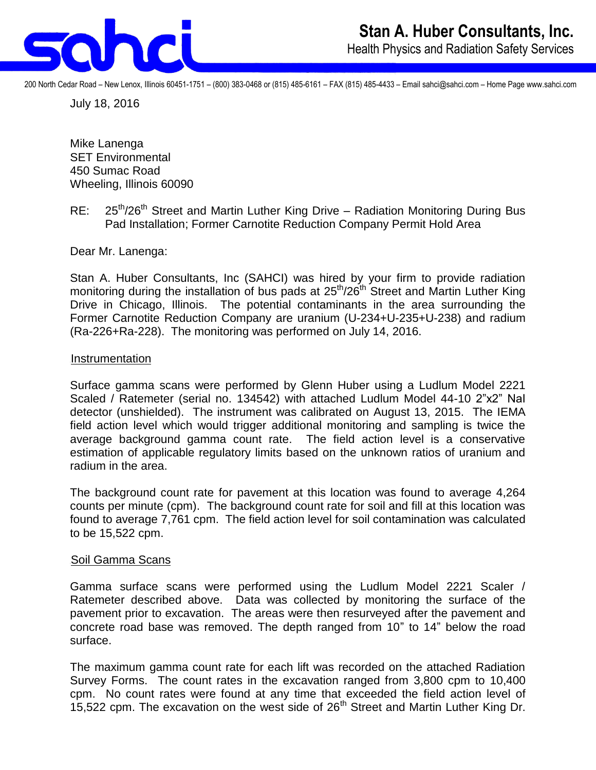

200 North Cedar Road – New Lenox, Illinois 60451-1751 – (800) 383-0468 or (815) 485-6161 – FAX (815) 485-4433 – Email sahci@sahci.com – Home Page www.sahci.com

July 18, 2016

Mike Lanenga SET Environmental 450 Sumac Road Wheeling, Illinois 60090

RE: 25<sup>th</sup>/26<sup>th</sup> Street and Martin Luther King Drive – Radiation Monitoring During Bus Pad Installation; Former Carnotite Reduction Company Permit Hold Area

Dear Mr. Lanenga:

Stan A. Huber Consultants, Inc (SAHCI) was hired by your firm to provide radiation monitoring during the installation of bus pads at  $25<sup>th</sup>/26<sup>th</sup>$  Street and Martin Luther King Drive in Chicago, Illinois. The potential contaminants in the area surrounding the Former Carnotite Reduction Company are uranium (U-234+U-235+U-238) and radium (Ra-226+Ra-228). The monitoring was performed on July 14, 2016.

#### **Instrumentation**

Surface gamma scans were performed by Glenn Huber using a Ludlum Model 2221 Scaled / Ratemeter (serial no. 134542) with attached Ludlum Model 44-10 2"x2" NaI detector (unshielded). The instrument was calibrated on August 13, 2015. The IEMA field action level which would trigger additional monitoring and sampling is twice the average background gamma count rate. The field action level is a conservative estimation of applicable regulatory limits based on the unknown ratios of uranium and radium in the area.

The background count rate for pavement at this location was found to average 4,264 counts per minute (cpm). The background count rate for soil and fill at this location was found to average 7,761 cpm. The field action level for soil contamination was calculated to be 15,522 cpm.

### Soil Gamma Scans

Gamma surface scans were performed using the Ludlum Model 2221 Scaler / Ratemeter described above. Data was collected by monitoring the surface of the pavement prior to excavation. The areas were then resurveyed after the pavement and concrete road base was removed. The depth ranged from 10" to 14" below the road surface.

The maximum gamma count rate for each lift was recorded on the attached Radiation Survey Forms. The count rates in the excavation ranged from 3,800 cpm to 10,400 cpm. No count rates were found at any time that exceeded the field action level of 15,522 cpm. The excavation on the west side of 26<sup>th</sup> Street and Martin Luther King Dr.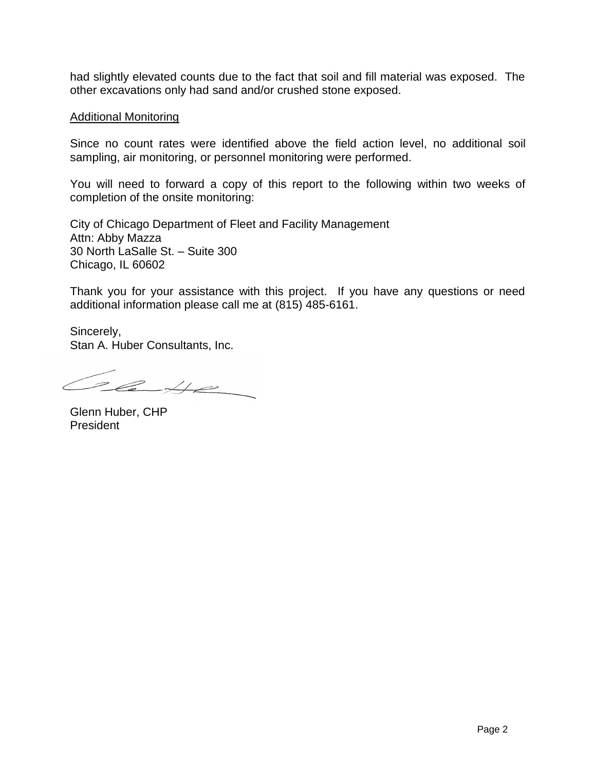had slightly elevated counts due to the fact that soil and fill material was exposed. The other excavations only had sand and/or crushed stone exposed.

### Additional Monitoring

Since no count rates were identified above the field action level, no additional soil sampling, air monitoring, or personnel monitoring were performed.

You will need to forward a copy of this report to the following within two weeks of completion of the onsite monitoring:

City of Chicago Department of Fleet and Facility Management Attn: Abby Mazza 30 North LaSalle St. – Suite 300 Chicago, IL 60602

Thank you for your assistance with this project. If you have any questions or need additional information please call me at (815) 485-6161.

Sincerely, Stan A. Huber Consultants, Inc.

Class

Glenn Huber, CHP President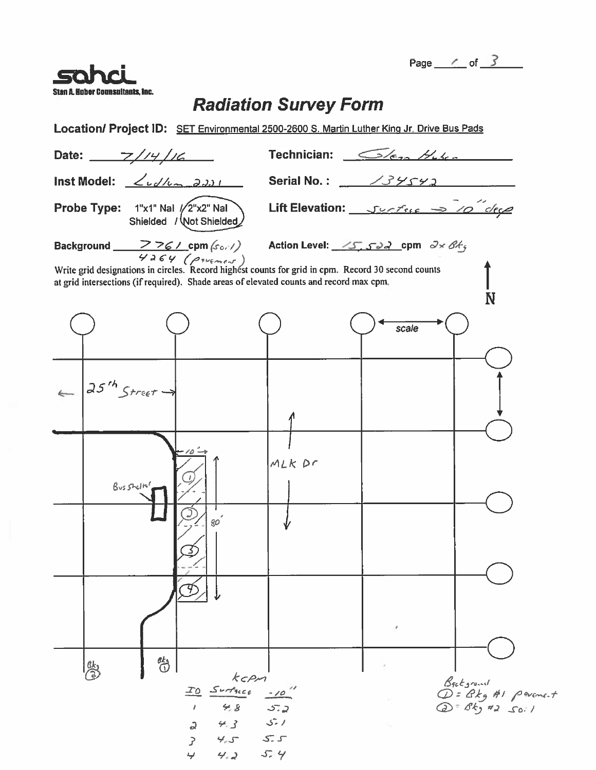Page  $\angle$  of  $\angle$ 



### **Radiation Survey Form**

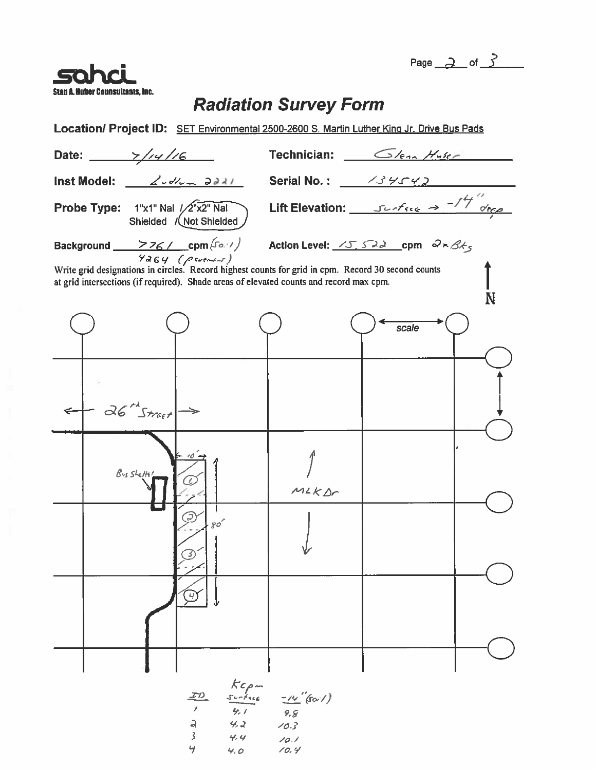Page  $2$  of  $3$ 



## **Radiation Survey Form**

Location/ Project ID: SET Environmental 2500-2600 S. Martin Luther King Jr. Drive Bus Pads

|                                                                                                                                                                                                                        | Date: $\frac{2}{14}$ //4//6 |                              | Technician: $\sqrt{e_{2n}H_{15n}}$               |       |  |  |  |
|------------------------------------------------------------------------------------------------------------------------------------------------------------------------------------------------------------------------|-----------------------------|------------------------------|--------------------------------------------------|-------|--|--|--|
|                                                                                                                                                                                                                        | <b>Inst Model:</b>          | 2.5/2.321                    | Serial No.: $\frac{\sqrt{3}\sqrt{5}\sqrt{2}}{2}$ |       |  |  |  |
| Probe Type: 1"x1" Nal /2"x2" Nal<br>Shielded / Not Shielded                                                                                                                                                            |                             |                              | Lift Elevation: $5666 \rightarrow 74$            |       |  |  |  |
| Background <u>- ファム cpm (Solv)</u> Action Level: <u>パチェンス cpm のちろん</u>                                                                                                                                                 |                             |                              |                                                  |       |  |  |  |
| $6464$ $(96464)$<br>Write grid designations in circles. Record highest counts for grid in cpm. Record 30 second counts<br>at grid intersections (if required). Shade areas of elevated counts and record max cpm.<br>N |                             |                              |                                                  |       |  |  |  |
|                                                                                                                                                                                                                        |                             |                              |                                                  | scale |  |  |  |
| $\leftarrow$                                                                                                                                                                                                           | $36^{th}$ Street-           |                              |                                                  |       |  |  |  |
|                                                                                                                                                                                                                        | Busshetter                  |                              | M2KDr                                            |       |  |  |  |
|                                                                                                                                                                                                                        |                             | $\mathcal{S}\mathcal{O}^{'}$ |                                                  |       |  |  |  |
|                                                                                                                                                                                                                        |                             |                              |                                                  |       |  |  |  |
|                                                                                                                                                                                                                        |                             |                              |                                                  |       |  |  |  |